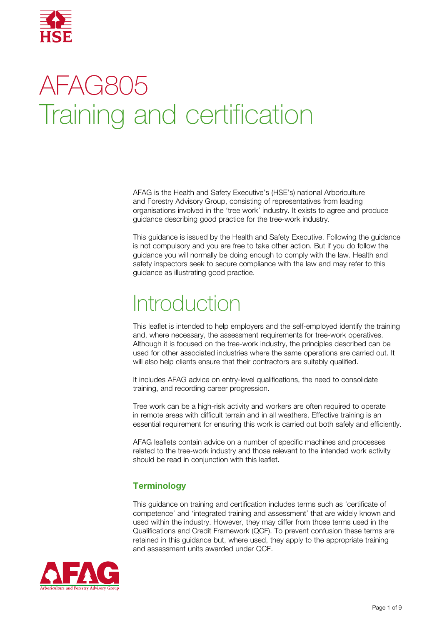

# AFAG805 Training and certification

AFAG is the Health and Safety Executive's (HSE's) national Arboriculture and Forestry Advisory Group, consisting of representatives from leading organisations involved in the 'tree work' industry. It exists to agree and produce guidance describing good practice for the tree-work industry.

This guidance is issued by the Health and Safety Executive. Following the guidance is not compulsory and you are free to take other action. But if you do follow the guidance you will normally be doing enough to comply with the law. Health and safety inspectors seek to secure compliance with the law and may refer to this guidance as illustrating good practice.

# Introduction

This leaflet is intended to help employers and the self-employed identify the training and, where necessary, the assessment requirements for tree-work operatives. Although it is focused on the tree-work industry, the principles described can be used for other associated industries where the same operations are carried out. It will also help clients ensure that their contractors are suitably qualified.

It includes AFAG advice on entry-level qualifications, the need to consolidate training, and recording career progression.

Tree work can be a high-risk activity and workers are often required to operate in remote areas with difficult terrain and in all weathers. Effective training is an essential requirement for ensuring this work is carried out both safely and efficiently.

AFAG leaflets contain advice on a number of specific machines and processes related to the tree-work industry and those relevant to the intended work activity should be read in conjunction with this leaflet.

# **Terminology**

This guidance on training and certification includes terms such as 'certificate of competence' and 'integrated training and assessment' that are widely known and used within the industry. However, they may differ from those terms used in the Qualifications and Credit Framework (QCF). To prevent confusion these terms are retained in this guidance but, where used, they apply to the appropriate training and assessment units awarded under QCF.

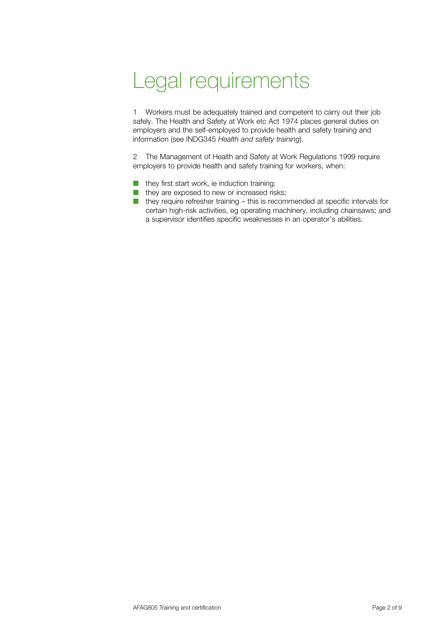# Legal requirements

1 Workers must be adequately trained and competent to carry out their job safely. The Health and Safety at Work etc Act 1974 places general duties on employers and the self-employed to provide health and safety training and information (see INDG345 *Health and safety training*).

2 The Management of Health and Safety at Work Regulations 1999 require employers to provide health and safety training for workers, when:

- they first start work, ie induction training;
- they are exposed to new or increased risks;
- $\blacksquare$  they require refresher training this is recommended at specific intervals for certain high-risk activities, eg operating machinery, including chainsaws; and a supervisor identifies specific weaknesses in an operator's abilities.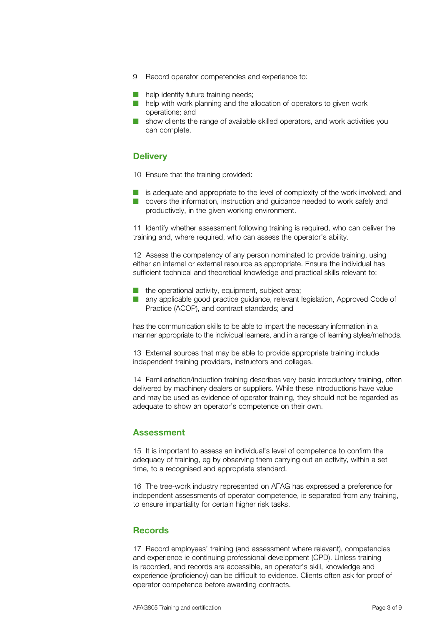- 9 Record operator competencies and experience to:
- help identify future training needs;
- help with work planning and the allocation of operators to given work operations; and
- show clients the range of available skilled operators, and work activities you can complete.

#### **Delivery**

10 Ensure that the training provided:

- is adequate and appropriate to the level of complexity of the work involved; and
- covers the information, instruction and guidance needed to work safely and productively, in the given working environment.

11 Identify whether assessment following training is required, who can deliver the training and, where required, who can assess the operator's ability.

12 Assess the competency of any person nominated to provide training, using either an internal or external resource as appropriate. Ensure the individual has sufficient technical and theoretical knowledge and practical skills relevant to:

- the operational activity, equipment, subject area;
- any applicable good practice guidance, relevant legislation, Approved Code of Practice (ACOP), and contract standards; and

has the communication skills to be able to impart the necessary information in a manner appropriate to the individual learners, and in a range of learning styles/methods.

13 External sources that may be able to provide appropriate training include independent training providers, instructors and colleges.

14 Familiarisation/induction training describes very basic introductory training, often delivered by machinery dealers or suppliers. While these introductions have value and may be used as evidence of operator training, they should not be regarded as adequate to show an operator's competence on their own.

#### **Assessment**

15 It is important to assess an individual's level of competence to confirm the adequacy of training, eg by observing them carrying out an activity, within a set time, to a recognised and appropriate standard.

16 The tree-work industry represented on AFAG has expressed a preference for independent assessments of operator competence, ie separated from any training, to ensure impartiality for certain higher risk tasks.

#### **Records**

17 Record employees' training (and assessment where relevant), competencies and experience ie continuing professional development (CPD). Unless training is recorded, and records are accessible, an operator's skill, knowledge and experience (proficiency) can be difficult to evidence. Clients often ask for proof of operator competence before awarding contracts.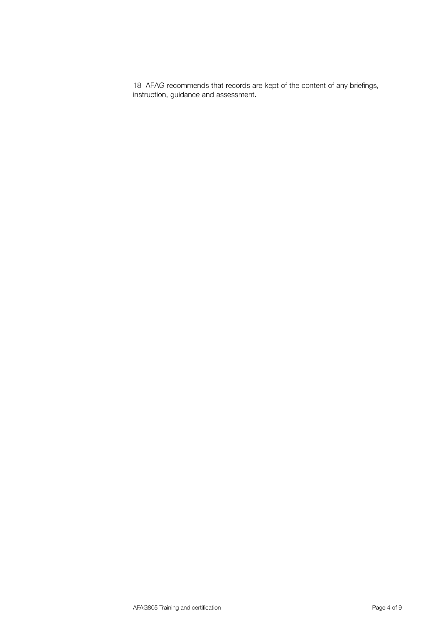18 AFAG recommends that records are kept of the content of any briefings, instruction, guidance and assessment.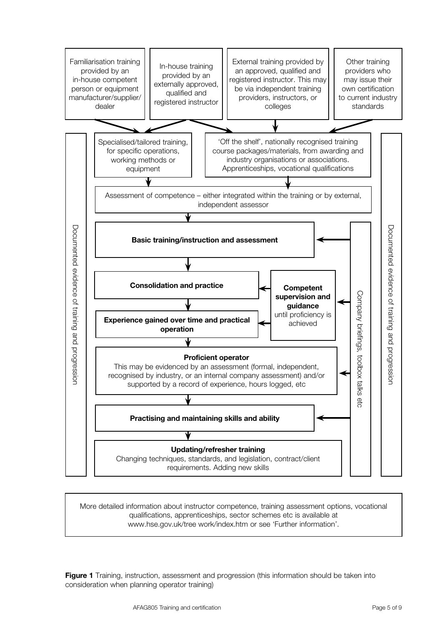

More detailed information about instructor competence, training assessment options, vocational qualifications, apprenticeships, sector schemes etc is available at www.hse.gov.uk/tree work/index.htm or see 'Further information'.

**Figure 1** Training, instruction, assessment and progression (this information should be taken into consideration when planning operator training)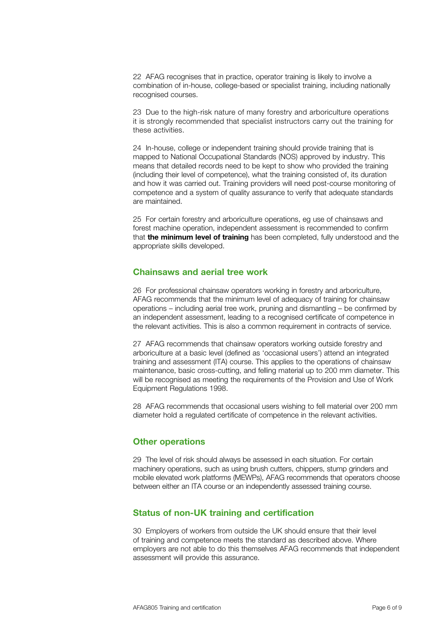22 AFAG recognises that in practice, operator training is likely to involve a combination of in-house, college-based or specialist training, including nationally recognised courses.

23 Due to the high-risk nature of many forestry and arboriculture operations it is strongly recommended that specialist instructors carry out the training for these activities.

24 In-house, college or independent training should provide training that is mapped to National Occupational Standards (NOS) approved by industry. This means that detailed records need to be kept to show who provided the training (including their level of competence), what the training consisted of, its duration and how it was carried out. Training providers will need post-course monitoring of competence and a system of quality assurance to verify that adequate standards are maintained.

25 For certain forestry and arboriculture operations, eg use of chainsaws and forest machine operation, independent assessment is recommended to confirm that **the minimum level of training** has been completed, fully understood and the appropriate skills developed.

### **Chainsaws and aerial tree work**

26 For professional chainsaw operators working in forestry and arboriculture, AFAG recommends that the minimum level of adequacy of training for chainsaw operations – including aerial tree work, pruning and dismantling – be confirmed by an independent assessment, leading to a recognised certificate of competence in the relevant activities. This is also a common requirement in contracts of service.

27 AFAG recommends that chainsaw operators working outside forestry and arboriculture at a basic level (defined as 'occasional users') attend an integrated training and assessment (ITA) course. This applies to the operations of chainsaw maintenance, basic cross-cutting, and felling material up to 200 mm diameter. This will be recognised as meeting the requirements of the Provision and Use of Work Equipment Regulations 1998.

28 AFAG recommends that occasional users wishing to fell material over 200 mm diameter hold a regulated certificate of competence in the relevant activities.

# **Other operations**

29 The level of risk should always be assessed in each situation. For certain machinery operations, such as using brush cutters, chippers, stump grinders and mobile elevated work platforms (MEWPs), AFAG recommends that operators choose between either an ITA course or an independently assessed training course.

# **Status of non-UK training and certification**

30 Employers of workers from outside the UK should ensure that their level of training and competence meets the standard as described above. Where employers are not able to do this themselves AFAG recommends that independent assessment will provide this assurance.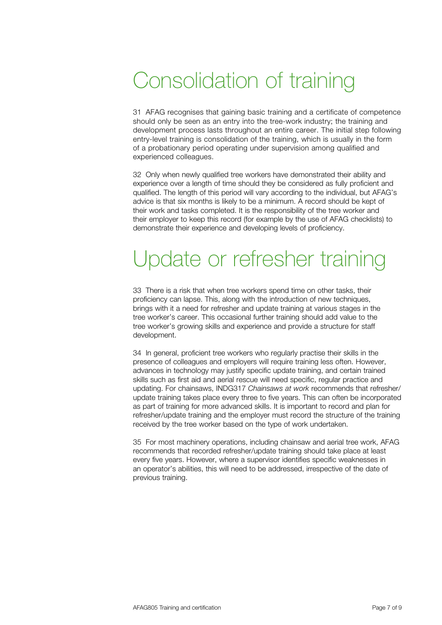# Consolidation of training

31 AFAG recognises that gaining basic training and a certificate of competence should only be seen as an entry into the tree-work industry; the training and development process lasts throughout an entire career. The initial step following entry-level training is consolidation of the training, which is usually in the form of a probationary period operating under supervision among qualified and experienced colleagues.

32 Only when newly qualified tree workers have demonstrated their ability and experience over a length of time should they be considered as fully proficient and qualified. The length of this period will vary according to the individual, but AFAG's advice is that six months is likely to be a minimum. A record should be kept of their work and tasks completed. It is the responsibility of the tree worker and their employer to keep this record (for example by the use of AFAG checklists) to demonstrate their experience and developing levels of proficiency.

# Update or refresher training

33 There is a risk that when tree workers spend time on other tasks, their proficiency can lapse. This, along with the introduction of new techniques, brings with it a need for refresher and update training at various stages in the tree worker's career. This occasional further training should add value to the tree worker's growing skills and experience and provide a structure for staff development.

34 In general, proficient tree workers who regularly practise their skills in the presence of colleagues and employers will require training less often. However, advances in technology may justify specific update training, and certain trained skills such as first aid and aerial rescue will need specific, regular practice and updating. For chainsaws, INDG317 *Chainsaws at work* recommends that refresher/ update training takes place every three to five years. This can often be incorporated as part of training for more advanced skills. It is important to record and plan for refresher/update training and the employer must record the structure of the training received by the tree worker based on the type of work undertaken.

35 For most machinery operations, including chainsaw and aerial tree work, AFAG recommends that recorded refresher/update training should take place at least every five years. However, where a supervisor identifies specific weaknesses in an operator's abilities, this will need to be addressed, irrespective of the date of previous training.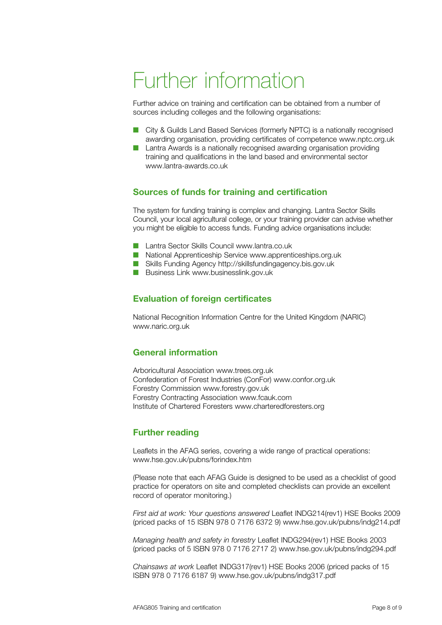# Further information

Further advice on training and certification can be obtained from a number of sources including colleges and the following organisations:

- City & Guilds Land Based Services (formerly NPTC) is a nationally recognised awarding organisation, providing certificates of competence www.nptc.org.uk
- Lantra Awards is a nationally recognised awarding organisation providing training and qualifications in the land based and environmental sector www.lantra-awards.co.uk

### **Sources of funds for training and certification**

The system for funding training is complex and changing. Lantra Sector Skills Council, your local agricultural college, or your training provider can advise whether you might be eligible to access funds. Funding advice organisations include:

- Lantra Sector Skills Council www.lantra.co.uk
- National Apprenticeship Service www.apprenticeships.org.uk
- Skills Funding Agency http://skillsfundingagency.bis.gov.uk
- Business Link www.businesslink.gov.uk

### **Evaluation of foreign certificates**

National Recognition Information Centre for the United Kingdom (NARIC) www.naric.org.uk

### **General information**

Arboricultural Association www.trees.org.uk Confederation of Forest Industries (ConFor) www.confor.org.uk Forestry Commission www.forestry.gov.uk Forestry Contracting Association www.fcauk.com Institute of Chartered Foresters www.charteredforesters.org

### **Further reading**

Leaflets in the AFAG series, covering a wide range of practical operations: www.hse.gov.uk/pubns/forindex.htm

(Please note that each AFAG Guide is designed to be used as a checklist of good practice for operators on site and completed checklists can provide an excellent record of operator monitoring.)

*First aid at work: Your questions answered* Leaflet INDG214(rev1) HSE Books 2009 (priced packs of 15 ISBN 978 0 7176 6372 9) www.hse.gov.uk/pubns/indg214.pdf

*Managing health and safety in forestry* Leaflet INDG294(rev1) HSE Books 2003 (priced packs of 5 ISBN 978 0 7176 2717 2) www.hse.gov.uk/pubns/indg294.pdf

*Chainsaws at work* Leaflet INDG317(rev1) HSE Books 2006 (priced packs of 15 ISBN 978 0 7176 6187 9) www.hse.gov.uk/pubns/indg317.pdf